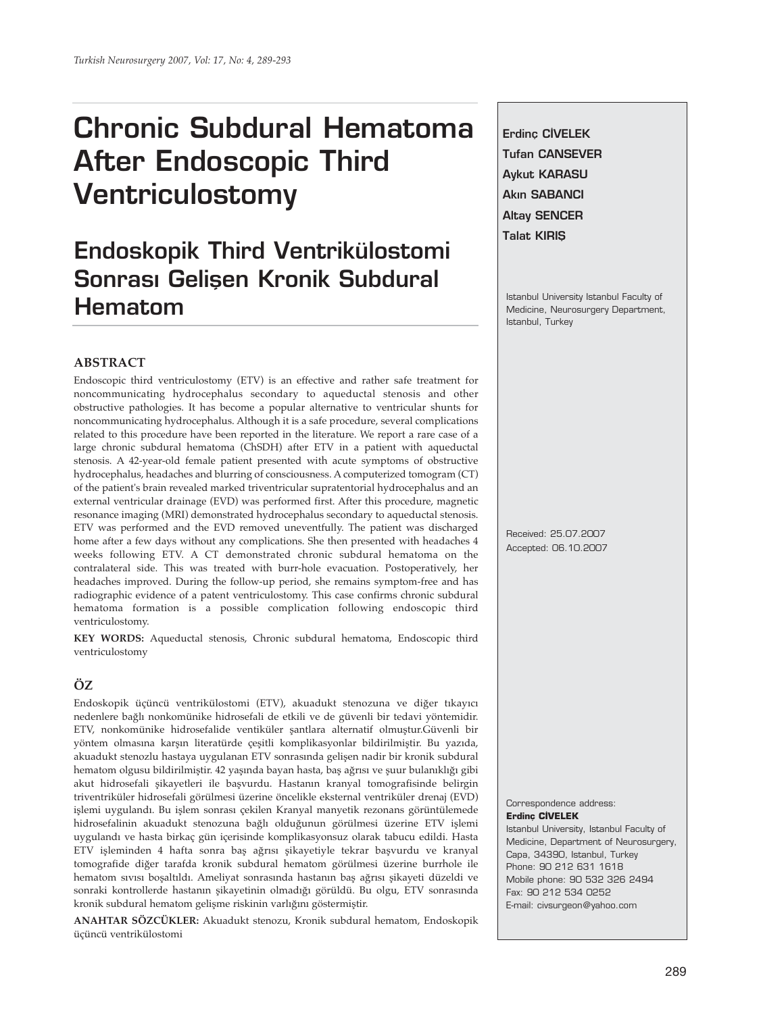# **Chronic Subdural Hematoma After Endoscopic Third Ventriculostomy**

# **Endoskopik Third Ventrikülostomi Sonrası Gelisen Kronik Subdural Hematom**

**Erdinc CİVELEK Tufan CANSEVER Aykut KARASU Akin SABANCI Altay SENCER Talat KIRIŞ** 

Istanbul University Istanbul Faculty of Medicine, Neurosurgery Department, Istanbul, Turkey

#### **ABSTRACT**

Endoscopic third ventriculostomy (ETV) is an effective and rather safe treatment for noncommunicating hydrocephalus secondary to aqueductal stenosis and other obstructive pathologies. It has become a popular alternative to ventricular shunts for noncommunicating hydrocephalus. Although it is a safe procedure, several complications related to this procedure have been reported in the literature. We report a rare case of a large chronic subdural hematoma (ChSDH) after ETV in a patient with aqueductal stenosis. A 42-year-old female patient presented with acute symptoms of obstructive hydrocephalus, headaches and blurring of consciousness. A computerized tomogram (CT) of the patient's brain revealed marked triventricular supratentorial hydrocephalus and an external ventricular drainage (EVD) was performed first. After this procedure, magnetic resonance imaging (MRI) demonstrated hydrocephalus secondary to aqueductal stenosis. ETV was performed and the EVD removed uneventfully. The patient was discharged home after a few days without any complications. She then presented with headaches 4 weeks following ETV. A CT demonstrated chronic subdural hematoma on the contralateral side. This was treated with burr-hole evacuation. Postoperatively, her headaches improved. During the follow-up period, she remains symptom-free and has radiographic evidence of a patent ventriculostomy. This case confirms chronic subdural hematoma formation is a possible complication following endoscopic third ventriculostomy.

**KEY WORDS:** Aqueductal stenosis, Chronic subdural hematoma, Endoscopic third ventriculostomy

## **ÖZ**

Endoskopik üçüncü ventrikülostomi (ETV), akuadukt stenozuna ve diğer tıkayıcı nedenlere bağlı nonkomünike hidrosefali de etkili ve de güvenli bir tedavi yöntemidir. ETV, nonkomünike hidrosefalide ventiküler şantlara alternatif olmuştur.Güvenli bir yöntem olmasına karşın literatürde çeşitli komplikasyonlar bildirilmiştir. Bu yazıda, akuadukt stenozlu hastaya uygulanan ETV sonrasında gelişen nadir bir kronik subdural hematom olgusu bildirilmiştir. 42 yaşında bayan hasta, baş ağrısı ve şuur bulanıklığı gibi akut hidrosefali şikayetleri ile başvurdu. Hastanın kranyal tomografisinde belirgin triventriküler hidrosefali görülmesi üzerine öncelikle eksternal ventriküler drenaj (EVD) işlemi uygulandı. Bu işlem sonrası çekilen Kranyal manyetik rezonans görüntülemede hidrosefalinin akuadukt stenozuna bağlı olduğunun görülmesi üzerine ETV işlemi uygulandı ve hasta birkaç gün içerisinde komplikasyonsuz olarak tabucu edildi. Hasta ETV işleminden 4 hafta sonra baş ağrısı şikayetiyle tekrar başvurdu ve kranyal tomografide diğer tarafda kronik subdural hematom görülmesi üzerine burrhole ile hematom sıvısı boşaltıldı. Ameliyat sonrasında hastanın baş ağrısı şikayeti düzeldi ve sonraki kontrollerde hastanın şikayetinin olmadığı görüldü. Bu olgu, ETV sonrasında kronik subdural hematom gelişme riskinin varlığını göstermiştir.

**ANAHTAR SÖZCÜKLER:** Akuadukt stenozu, Kronik subdural hematom, Endoskopik üçüncü ventrikülostomi

Received: 25.07.2007 Accepted: 06.10.2007

Correspondence address: **Erdinç CİVELEK** Istanbul University, Istanbul Faculty of Medicine, Department of Neurosurgery, Capa, 34390, Istanbul, Turkey Phone: 90 212 631 1618 Mobile phone: 90 532 326 2494 Fax: 90 212 534 0252 E-mail: civsurgeon@yahoo.com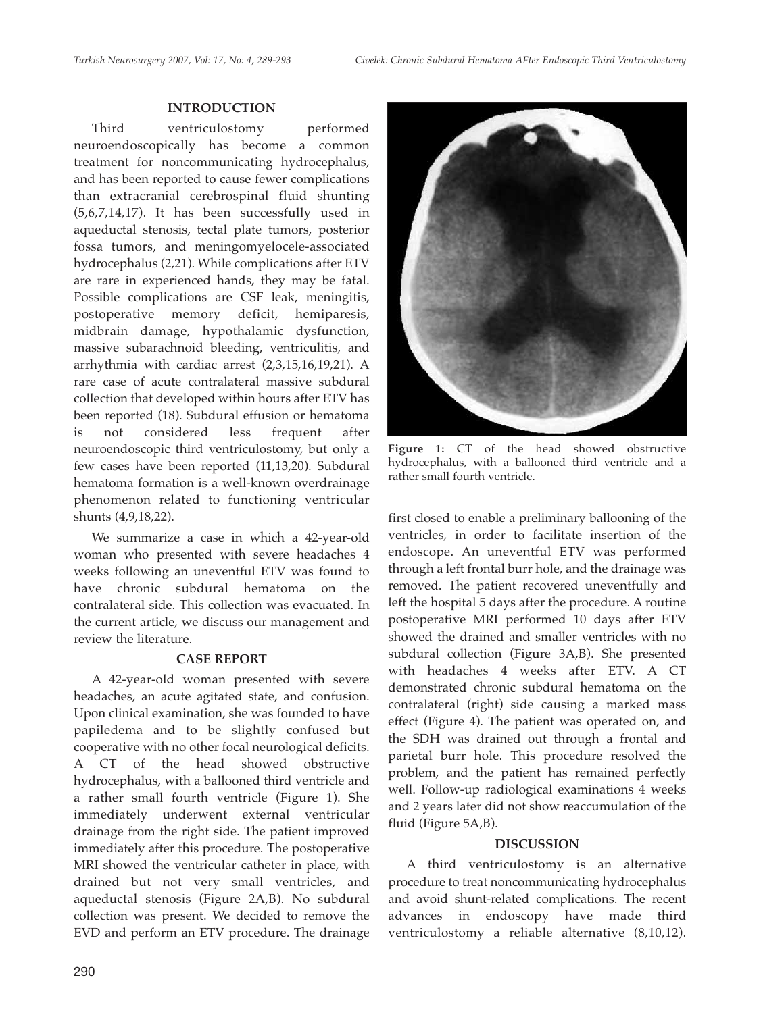### **INTRODUCTION**

Third ventriculostomy performed neuroendoscopically has become a common treatment for noncommunicating hydrocephalus, and has been reported to cause fewer complications than extracranial cerebrospinal fluid shunting (5,6,7,14,17). It has been successfully used in aqueductal stenosis, tectal plate tumors, posterior fossa tumors, and meningomyelocele-associated hydrocephalus (2,21). While complications after ETV are rare in experienced hands, they may be fatal. Possible complications are CSF leak, meningitis, postoperative memory deficit, hemiparesis, midbrain damage, hypothalamic dysfunction, massive subarachnoid bleeding, ventriculitis, and arrhythmia with cardiac arrest (2,3,15,16,19,21). A rare case of acute contralateral massive subdural collection that developed within hours after ETV has been reported (18). Subdural effusion or hematoma is not considered less frequent after neuroendoscopic third ventriculostomy, but only a few cases have been reported (11,13,20). Subdural hematoma formation is a well-known overdrainage phenomenon related to functioning ventricular shunts (4,9,18,22).

We summarize a case in which a 42-year-old woman who presented with severe headaches 4 weeks following an uneventful ETV was found to have chronic subdural hematoma on the contralateral side. This collection was evacuated. In the current article, we discuss our management and review the literature.

#### **CASE REPORT**

A 42-year-old woman presented with severe headaches, an acute agitated state, and confusion. Upon clinical examination, she was founded to have papiledema and to be slightly confused but cooperative with no other focal neurological deficits. A CT of the head showed obstructive hydrocephalus, with a ballooned third ventricle and a rather small fourth ventricle (Figure 1). She immediately underwent external ventricular drainage from the right side. The patient improved immediately after this procedure. The postoperative MRI showed the ventricular catheter in place, with drained but not very small ventricles, and aqueductal stenosis (Figure 2A,B). No subdural collection was present. We decided to remove the EVD and perform an ETV procedure. The drainage



**Figure 1:** CT of the head showed obstructive hydrocephalus, with a ballooned third ventricle and a rather small fourth ventricle.

first closed to enable a preliminary ballooning of the ventricles, in order to facilitate insertion of the endoscope. An uneventful ETV was performed through a left frontal burr hole, and the drainage was removed. The patient recovered uneventfully and left the hospital 5 days after the procedure. A routine postoperative MRI performed 10 days after ETV showed the drained and smaller ventricles with no subdural collection (Figure 3A,B). She presented with headaches 4 weeks after ETV. A CT demonstrated chronic subdural hematoma on the contralateral (right) side causing a marked mass effect (Figure 4). The patient was operated on, and the SDH was drained out through a frontal and parietal burr hole. This procedure resolved the problem, and the patient has remained perfectly well. Follow-up radiological examinations 4 weeks and 2 years later did not show reaccumulation of the fluid (Figure 5A,B).

#### **DISCUSSION**

A third ventriculostomy is an alternative procedure to treat noncommunicating hydrocephalus and avoid shunt-related complications. The recent advances in endoscopy have made third ventriculostomy a reliable alternative (8,10,12).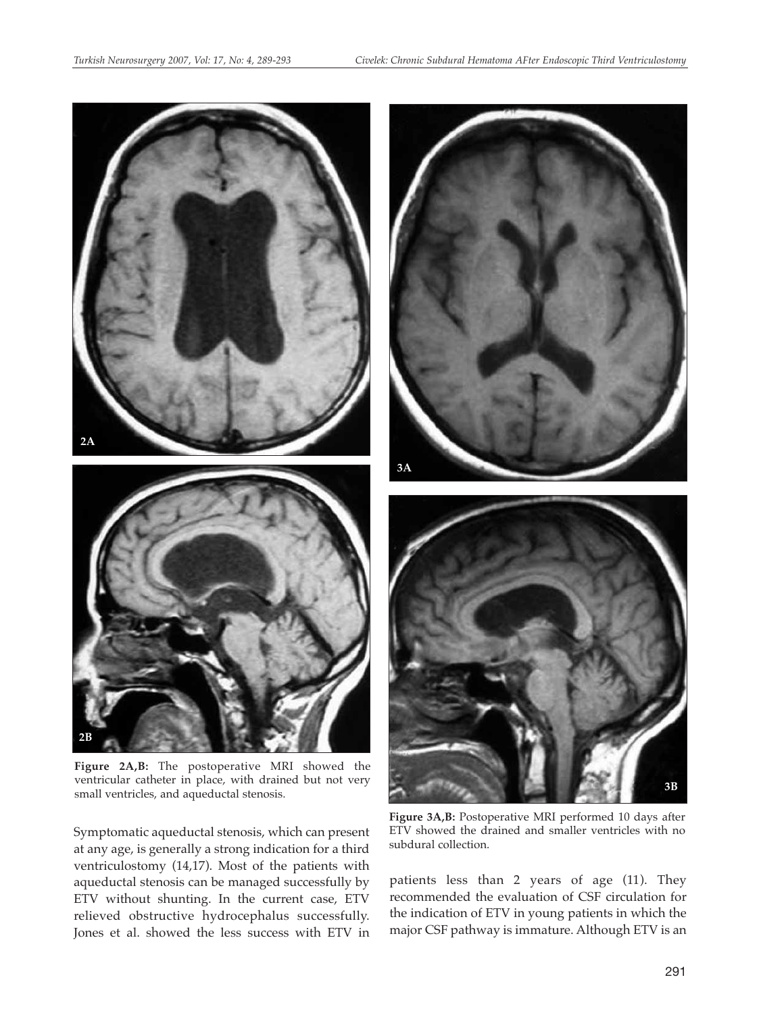

**Figure 3A,B:** Postoperative MRI performed 10 days after ETV showed the drained and smaller ventricles with no subdural collection.

patients less than 2 years of age (11). They recommended the evaluation of CSF circulation for the indication of ETV in young patients in which the major CSF pathway is immature. Although ETV is an

ventricular catheter in place, with drained but not very small ventricles, and aqueductal stenosis.

Symptomatic aqueductal stenosis, which can present at any age, is generally a strong indication for a third ventriculostomy (14,17). Most of the patients with aqueductal stenosis can be managed successfully by ETV without shunting. In the current case, ETV relieved obstructive hydrocephalus successfully. Jones et al. showed the less success with ETV in **3B**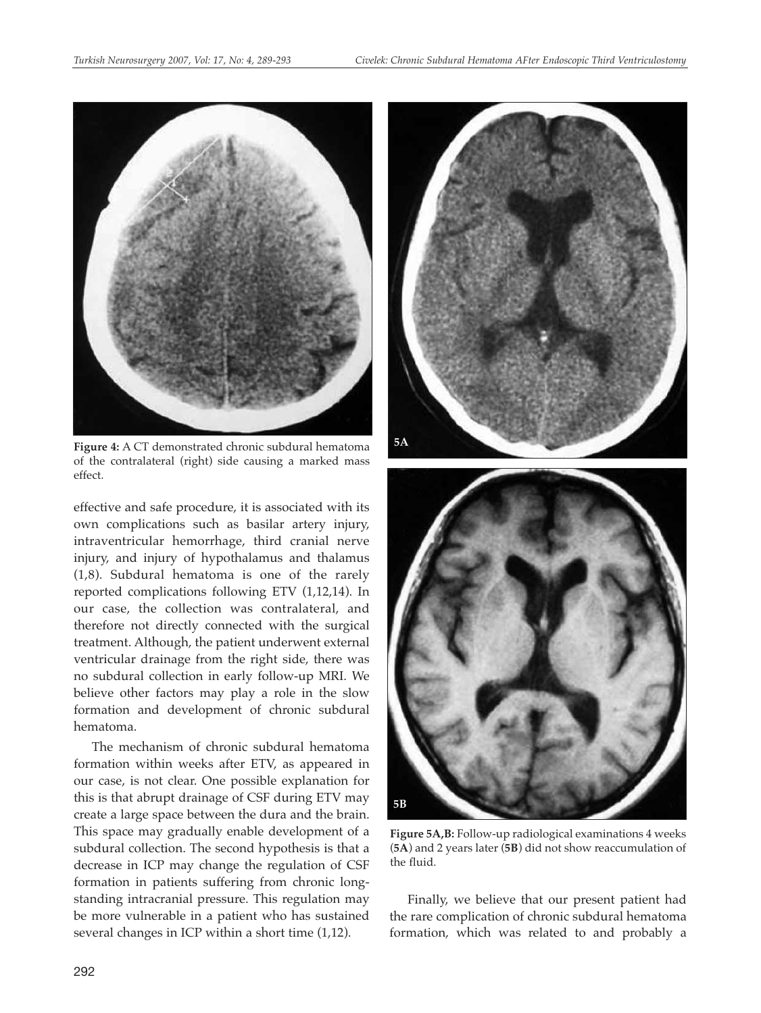

**Figure 4:** A CT demonstrated chronic subdural hematoma of the contralateral (right) side causing a marked mass effect.

effective and safe procedure, it is associated with its own complications such as basilar artery injury, intraventricular hemorrhage, third cranial nerve injury, and injury of hypothalamus and thalamus (1,8). Subdural hematoma is one of the rarely reported complications following ETV (1,12,14). In our case, the collection was contralateral, and therefore not directly connected with the surgical treatment. Although, the patient underwent external ventricular drainage from the right side, there was no subdural collection in early follow-up MRI. We believe other factors may play a role in the slow formation and development of chronic subdural hematoma.

The mechanism of chronic subdural hematoma formation within weeks after ETV, as appeared in our case, is not clear. One possible explanation for this is that abrupt drainage of CSF during ETV may create a large space between the dura and the brain. This space may gradually enable development of a subdural collection. The second hypothesis is that a decrease in ICP may change the regulation of CSF formation in patients suffering from chronic longstanding intracranial pressure. This regulation may be more vulnerable in a patient who has sustained several changes in ICP within a short time (1,12).



**Figure 5A,B:** Follow-up radiological examinations 4 weeks (**5A**) and 2 years later (**5B**) did not show reaccumulation of the fluid.

**5B**

Finally, we believe that our present patient had the rare complication of chronic subdural hematoma formation, which was related to and probably a